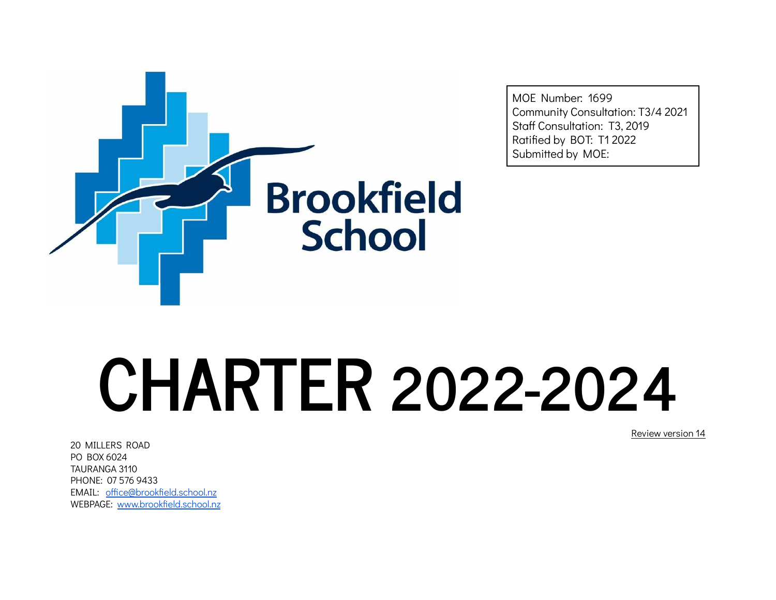

MOE Number: 1699 Community Consultation: T3/4 2021 Staff Consultation: T3, 2019 Ratified by BOT: T1 2022 Submitted by MOE:

# **CHARTER 2022-2024**

20 MILLERS ROAD PO BOX 6024 TAURANGA 3110 PHONE: 07 576 9433 EMAIL: [office@brookfield.school.nz](mailto:office@brookfield.school.nz) WEBPAGE: [www.brookfield.school.nz](http://www.brookfield.school.nz) Review version 14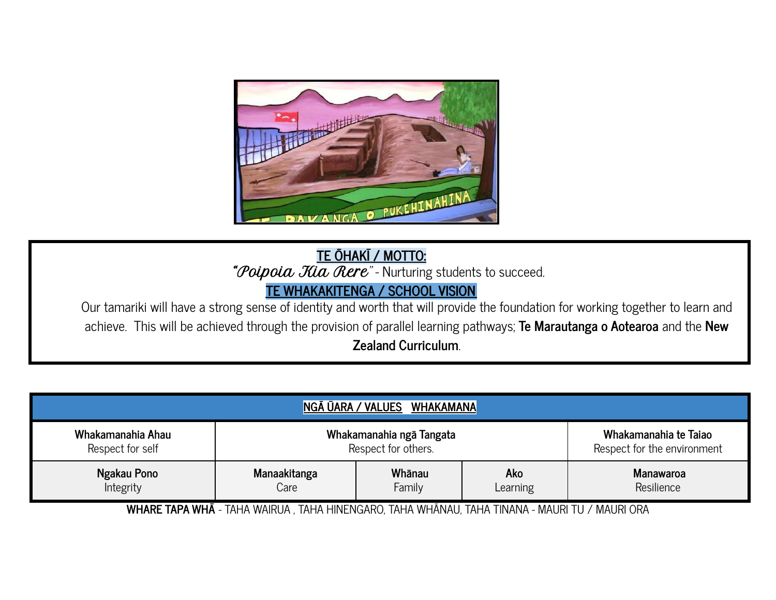

**TE ŌHAKĪ / MOTTO:** "Poipoia Kia Rere" - Nurturing students to succeed.

#### **TE WHAKAKITENGA / SCHOOL VISION**

Our tamariki will have a strong sense of identity and worth that will provide the foundation for working together to learn and achieve. This will be achieved through the provision of parallel learning pathways; **Te Marautanga o Aotearoa** and the **New Zealand Curriculum**.

| NGĀ ŪARA / VALUES<br>WHAKAMANA |                          |                             |  |  |  |  |  |
|--------------------------------|--------------------------|-----------------------------|--|--|--|--|--|
| Whakamanahia Ahau              | Whakamanahia ngā Tangata | Whakamanahia te Taiao       |  |  |  |  |  |
| Respect for self               | Respect for others.      | Respect for the environment |  |  |  |  |  |
| Ngakau Pono                    | Manaakitanga             | <b>Manawaroa</b>            |  |  |  |  |  |
| Integrity                      | Care                     | Resilience                  |  |  |  |  |  |

**WHARE TAPA WHĀ** - TAHA WAIRUA , TAHA HINENGARO, TAHA WHĀNAU, TAHA TINANA - MAURI TU / MAURI ORA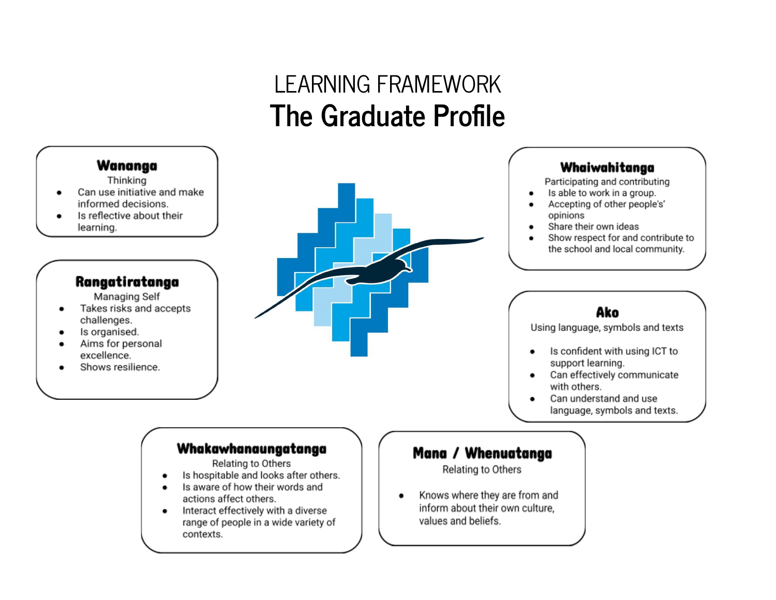# LEARNING FRAMEWORK **The Graduate Profile**

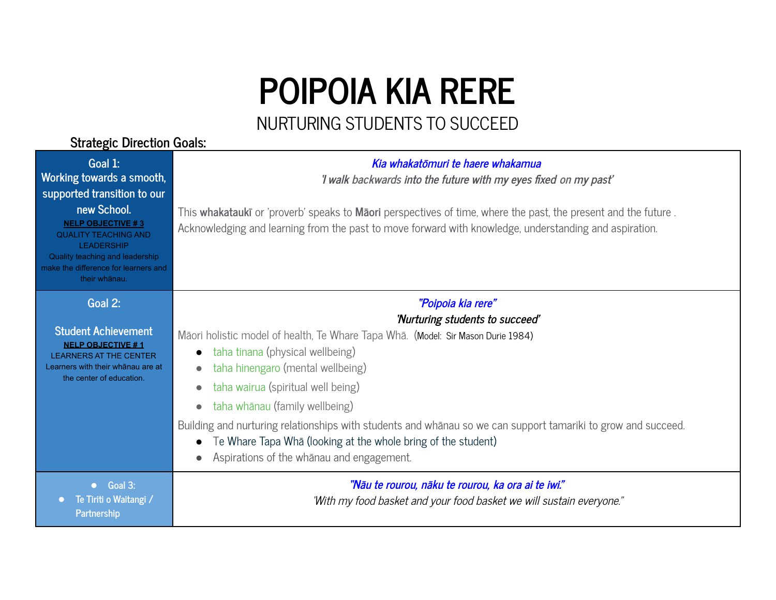# **POIPOIA KIA RERE**

#### NURTURING STUDENTS TO SUCCEED

#### **Strategic Direction Goals:**

| Goal 1:<br>Working towards a smooth,<br>supported transition to our<br>new School.<br><b>NELP OBJECTIVE #3</b><br><b>QUALITY TEACHING AND</b><br><b>LEADERSHIP</b><br>Quality teaching and leadership<br>make the difference for learners and<br>their whānau. | Kia whakatōmuri te haere whakamua<br>'I walk backwards into the future with my eyes fixed on my past'<br>This whakatauki or 'proverb' speaks to Maori perspectives of time, where the past, the present and the future.<br>Acknowledging and learning from the past to move forward with knowledge, understanding and aspiration.                                                                                                                                                                                                                                                                       |
|----------------------------------------------------------------------------------------------------------------------------------------------------------------------------------------------------------------------------------------------------------------|---------------------------------------------------------------------------------------------------------------------------------------------------------------------------------------------------------------------------------------------------------------------------------------------------------------------------------------------------------------------------------------------------------------------------------------------------------------------------------------------------------------------------------------------------------------------------------------------------------|
| Goal 2:<br><b>Student Achievement</b><br><b>NELP OBJECTIVE #1</b><br><b>LEARNERS AT THE CENTER</b><br>Learners with their whanau are at<br>the center of education.                                                                                            | "Poipoia kia rere"<br>'Nurturing students to succeed'<br>Māori holistic model of health, Te Whare Tapa Whā. (Model: Sir Mason Durie 1984)<br>taha tinana (physical wellbeing)<br>$\bullet$<br>taha hinengaro (mental wellbeing)<br>$\bullet$<br>taha wairua (spiritual well being)<br>$\bullet$<br>taha whānau (family wellbeing)<br>$\bullet$<br>Building and nurturing relationships with students and whanau so we can support tamariki to grow and succeed.<br>Te Whare Tapa Wha (looking at the whole bring of the student)<br>$\bullet$<br>Aspirations of the whanau and engagement.<br>$\bullet$ |
| • Goal 3:<br>Te Tiriti o Waitangi /<br>Partnership                                                                                                                                                                                                             | "Nāu te rourou, nāku te rourou, ka ora ai te iwi."<br>"With my food basket and your food basket we will sustain everyone."                                                                                                                                                                                                                                                                                                                                                                                                                                                                              |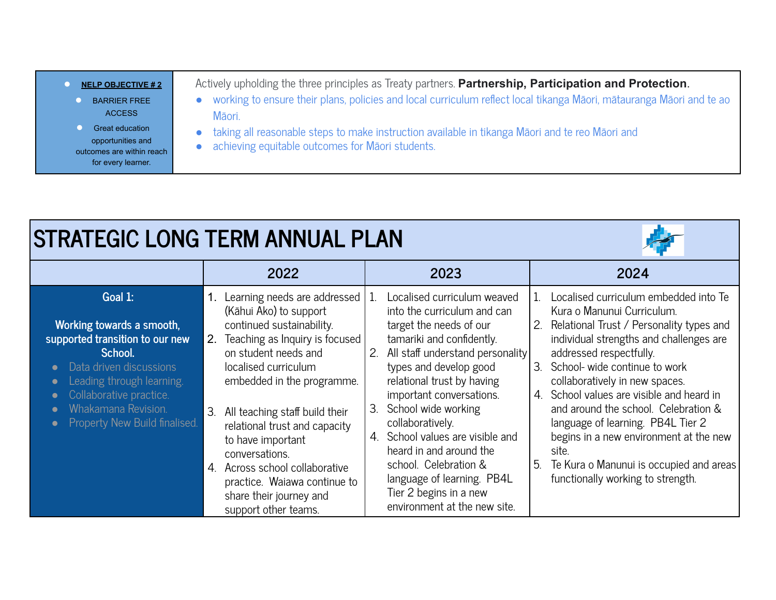| <b>NELP OBJECTIVE #2</b>                                                                       | Actively upholding the three principles as Treaty partners. Partnership, Participation and Protection.                                              |
|------------------------------------------------------------------------------------------------|-----------------------------------------------------------------------------------------------------------------------------------------------------|
| <b>BARRIER FREE</b><br><b>ACCESS</b>                                                           | working to ensure their plans, policies and local curriculum reflect local tikanga Māori, mātauranga Māori and te ao<br>Māori.                      |
| <b>Great education</b><br>opportunities and<br>outcomes are within reach<br>for every learner. | taking all reasonable steps to make instruction available in tikanga Māori and te reo Māori and<br>achieving equitable outcomes for Māori students. |

凄

|                                                                                                                                                                                                                               | 2022                                                                                                                                                                                                                                                                                                                                                                                                                                                                  | 2023                                                                                                                                                                                                                                                                                                                                                                                                                                                                                                   | 2024                                                                                                                                                                                                                                                                                                                                                                                                                                                                                                                                       |  |  |
|-------------------------------------------------------------------------------------------------------------------------------------------------------------------------------------------------------------------------------|-----------------------------------------------------------------------------------------------------------------------------------------------------------------------------------------------------------------------------------------------------------------------------------------------------------------------------------------------------------------------------------------------------------------------------------------------------------------------|--------------------------------------------------------------------------------------------------------------------------------------------------------------------------------------------------------------------------------------------------------------------------------------------------------------------------------------------------------------------------------------------------------------------------------------------------------------------------------------------------------|--------------------------------------------------------------------------------------------------------------------------------------------------------------------------------------------------------------------------------------------------------------------------------------------------------------------------------------------------------------------------------------------------------------------------------------------------------------------------------------------------------------------------------------------|--|--|
| Goal 1:<br>Working towards a smooth,<br>supported transition to our new<br>School.<br>Data driven discussions<br>Leading through learning.<br>Collaborative practice.<br>Whakamana Revision.<br>Property New Build finalised. | Learning needs are addressed<br>(Kāhui Ako) to support<br>continued sustainability.<br>2. Teaching as Inquiry is focused<br>on student needs and<br>localised curriculum<br>embedded in the programme.<br>$\mathcal{S}$<br>All teaching staff build their<br>relational trust and capacity<br>to have important<br>conversations.<br>Across school collaborative<br>$\overline{4}$<br>practice. Waiawa continue to<br>share their journey and<br>support other teams. | Localised curriculum weaved<br>1.<br>into the curriculum and can<br>target the needs of our<br>tamariki and confidently.<br>All staff understand personality<br>2 <sub>1</sub><br>types and develop good<br>relational trust by having<br>important conversations.<br>School wide working<br>3.<br>collaboratively.<br>School values are visible and<br>4.<br>heard in and around the<br>school. Celebration &<br>language of learning. PB4L<br>Tier 2 begins in a new<br>environment at the new site. | Localised curriculum embedded into Te<br>Kura o Manunui Curriculum.<br>Relational Trust / Personality types and<br>2.<br>individual strengths and challenges are<br>addressed respectfully.<br>School- wide continue to work<br>3.<br>collaboratively in new spaces.<br>School values are visible and heard in<br>4.<br>and around the school. Celebration &<br>language of learning. PB4L Tier 2<br>begins in a new environment at the new<br>site.<br>5.<br>Te Kura o Manunui is occupied and areas<br>functionally working to strength. |  |  |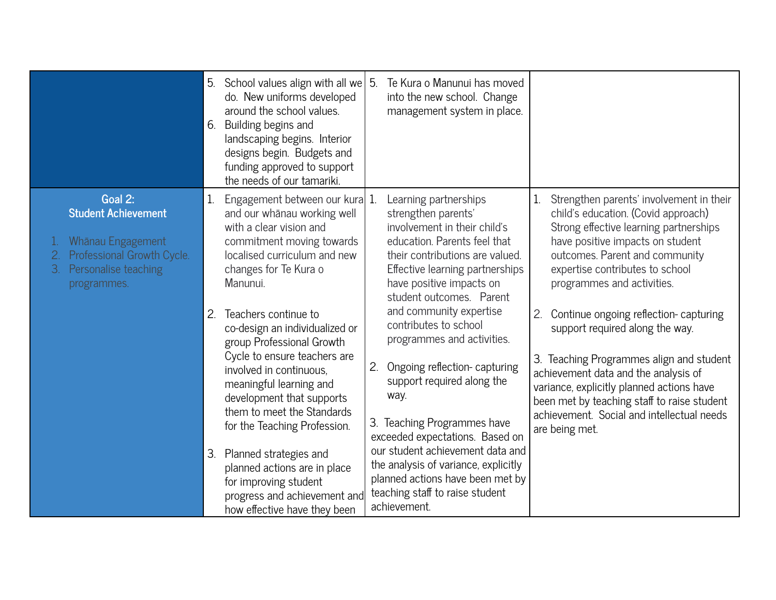|                                                                                                                                       | 5.<br>6.     | School values align with all we<br>do. New uniforms developed<br>around the school values.<br>Building begins and<br>landscaping begins. Interior<br>designs begin. Budgets and<br>funding approved to support<br>the needs of our tamariki.                                                                                                                                                                            | 5. | Te Kura o Manunui has moved<br>into the new school. Change<br>management system in place.                                                                                                                                                                                                                                                                                                 |    |                                                                                                                                                                                                                                                                                                                          |
|---------------------------------------------------------------------------------------------------------------------------------------|--------------|-------------------------------------------------------------------------------------------------------------------------------------------------------------------------------------------------------------------------------------------------------------------------------------------------------------------------------------------------------------------------------------------------------------------------|----|-------------------------------------------------------------------------------------------------------------------------------------------------------------------------------------------------------------------------------------------------------------------------------------------------------------------------------------------------------------------------------------------|----|--------------------------------------------------------------------------------------------------------------------------------------------------------------------------------------------------------------------------------------------------------------------------------------------------------------------------|
| Goal 2:<br><b>Student Achievement</b><br>Whānau Engagement<br>Professional Growth Cycle.<br>3.<br>Personalise teaching<br>programmes. | $\mathbf{1}$ | Engagement between our kura 1.<br>and our whānau working well<br>with a clear vision and<br>commitment moving towards<br>localised curriculum and new<br>changes for Te Kura o<br>Manunui.                                                                                                                                                                                                                              |    | Learning partnerships<br>strengthen parents'<br>involvement in their child's<br>education. Parents feel that<br>their contributions are valued.<br>Effective learning partnerships<br>have positive impacts on<br>student outcomes. Parent                                                                                                                                                |    | Strengthen parents' involvement in their<br>child's education. (Covid approach)<br>Strong effective learning partnerships<br>have positive impacts on student<br>outcomes. Parent and community<br>expertise contributes to school<br>programmes and activities.                                                         |
|                                                                                                                                       | 2.<br>3.     | Teachers continue to<br>co-design an individualized or<br>group Professional Growth<br>Cycle to ensure teachers are<br>involved in continuous.<br>meaningful learning and<br>development that supports<br>them to meet the Standards<br>for the Teaching Profession.<br>Planned strategies and<br>planned actions are in place<br>for improving student<br>progress and achievement and<br>how effective have they been | 2. | and community expertise<br>contributes to school<br>programmes and activities.<br>Ongoing reflection-capturing<br>support required along the<br>way.<br>3. Teaching Programmes have<br>exceeded expectations. Based on<br>our student achievement data and<br>the analysis of variance, explicitly<br>planned actions have been met by<br>teaching staff to raise student<br>achievement. | 2. | Continue ongoing reflection-capturing<br>support required along the way.<br>3. Teaching Programmes align and student<br>achievement data and the analysis of<br>variance, explicitly planned actions have<br>been met by teaching staff to raise student<br>achievement. Social and intellectual needs<br>are being met. |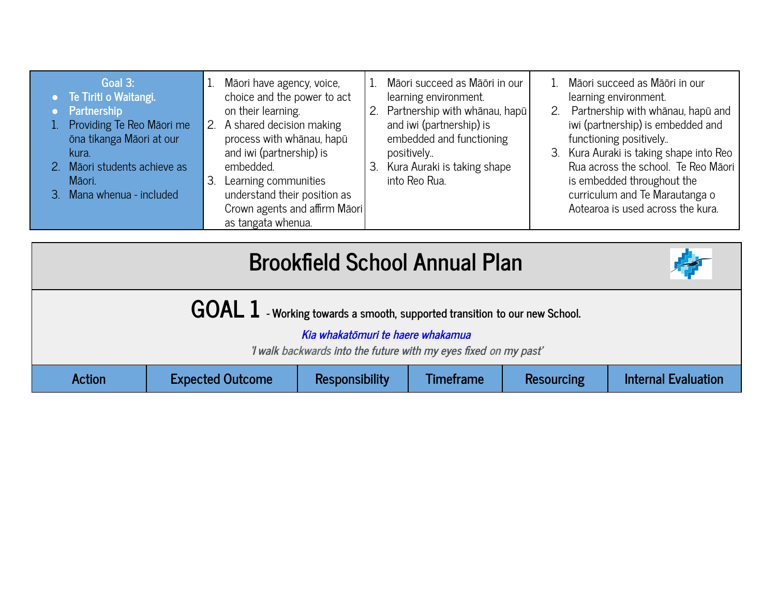| Māori succeed as Māōri in our<br>1. Māori succeed as Māōri in our<br>Goal 3:<br>Māori have agency, voice,<br>1.<br>Te Tiriti o Waitangi.<br>choice and the power to act<br>learning environment.<br>learning environment.<br>2. Partnership with whānau, hapū<br>Partnership with whānau, hapū and<br>Partnership<br>on their learning.<br>2.<br>and iwi (partnership) is<br>iwi (partnership) is embedded and<br>Providing Te Reo Māori me<br>2. A shared decision making<br>embedded and functioning<br>ōna tikanga Māori at our<br>process with whānau, hapū<br>functioning positively<br>and iwi (partnership) is<br>3. Kura Auraki is taking shape into Reo<br>positively<br>kura.<br>Rua across the school. Te Reo Māori<br>2. Māori students achieve as<br>Kura Auraki is taking shape<br>embedded.<br>З.<br>into Reo Rua.<br>is embedded throughout the<br>Māori.<br>Learning communities<br>З.<br>understand their position as<br>curriculum and Te Marautanga o<br>3. Mana whenua - included<br>Aotearoa is used across the kura.<br>Crown agents and affirm Māori<br>as tangata whenua. |
|----------------------------------------------------------------------------------------------------------------------------------------------------------------------------------------------------------------------------------------------------------------------------------------------------------------------------------------------------------------------------------------------------------------------------------------------------------------------------------------------------------------------------------------------------------------------------------------------------------------------------------------------------------------------------------------------------------------------------------------------------------------------------------------------------------------------------------------------------------------------------------------------------------------------------------------------------------------------------------------------------------------------------------------------------------------------------------------------------|
|----------------------------------------------------------------------------------------------------------------------------------------------------------------------------------------------------------------------------------------------------------------------------------------------------------------------------------------------------------------------------------------------------------------------------------------------------------------------------------------------------------------------------------------------------------------------------------------------------------------------------------------------------------------------------------------------------------------------------------------------------------------------------------------------------------------------------------------------------------------------------------------------------------------------------------------------------------------------------------------------------------------------------------------------------------------------------------------------------|

| <b>Brookfield School Annual Plan</b><br>奉                                    |                                                                                                                         |  |  |  |  |  |  |  |
|------------------------------------------------------------------------------|-------------------------------------------------------------------------------------------------------------------------|--|--|--|--|--|--|--|
| $GOAL$ 1 - Working towards a smooth, supported transition to our new School. |                                                                                                                         |  |  |  |  |  |  |  |
|                                                                              | Kia whakatōmuri te haere whakamua<br>'I walk backwards into the future with my eyes fixed on my past'                   |  |  |  |  |  |  |  |
| <b>Action</b>                                                                | <b>Internal Evaluation</b><br><b>Expected Outcome</b><br><b>Responsibility</b><br><b>Resourcing</b><br><b>Timeframe</b> |  |  |  |  |  |  |  |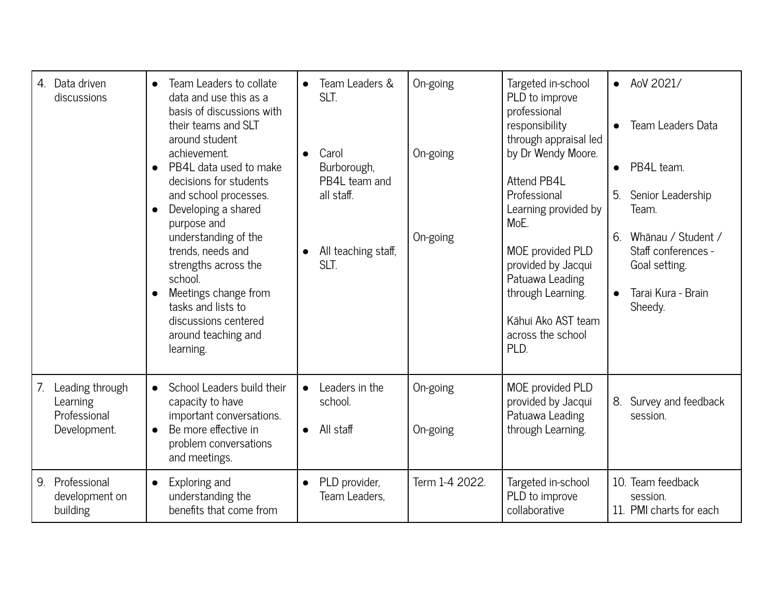| 4. Data driven<br>discussions                                     | Team Leaders to collate<br>data and use this as a<br>basis of discussions with<br>their teams and SLT<br>around student<br>achievement.<br>PB4L data used to make<br>decisions for students<br>and school processes.<br>Developing a shared<br>$\bullet$<br>purpose and<br>understanding of the<br>trends, needs and<br>strengths across the<br>school.<br>Meetings change from<br>tasks and lists to<br>discussions centered<br>around teaching and<br>learning. | Team Leaders &<br>SLT.<br>Carol<br>$\bullet$<br>Burborough,<br>PB4L team and<br>all staff.<br>All teaching staff,<br>SLT. | On-going<br>On-going<br>On-going | Targeted in-school<br>PLD to improve<br>professional<br>responsibility<br>through appraisal led<br>by Dr Wendy Moore.<br>Attend PB4L<br>Professional<br>Learning provided by<br>MoE.<br>MOE provided PLD<br>provided by Jacqui<br>Patuawa Leading<br>through Learning.<br>Kāhui Ako AST team<br>across the school<br>PLD. | AoV 2021/<br>$\bullet$<br>Team Leaders Data<br>$\bullet$<br>PB4L team.<br>$\bullet$<br>5.<br>Senior Leadership<br>Team.<br>Whānau / Student /<br>6.<br>Staff conferences -<br>Goal setting.<br>Tarai Kura - Brain<br>$\bullet$<br>Sheedy. |
|-------------------------------------------------------------------|-------------------------------------------------------------------------------------------------------------------------------------------------------------------------------------------------------------------------------------------------------------------------------------------------------------------------------------------------------------------------------------------------------------------------------------------------------------------|---------------------------------------------------------------------------------------------------------------------------|----------------------------------|---------------------------------------------------------------------------------------------------------------------------------------------------------------------------------------------------------------------------------------------------------------------------------------------------------------------------|-------------------------------------------------------------------------------------------------------------------------------------------------------------------------------------------------------------------------------------------|
| Leading through<br>7.<br>Learning<br>Professional<br>Development. | School Leaders build their<br>$\bullet$<br>capacity to have<br>important conversations.<br>Be more effective in<br>$\bullet$<br>problem conversations<br>and meetings.                                                                                                                                                                                                                                                                                            | Leaders in the<br>school.<br>$\bullet$ All staff                                                                          | On-going<br>On-going             | MOE provided PLD<br>provided by Jacqui<br>Patuawa Leading<br>through Learning.                                                                                                                                                                                                                                            | Survey and feedback<br>8.<br>session.                                                                                                                                                                                                     |
| Professional<br>9.<br>development on<br>building                  | Exploring and<br>$\bullet$<br>understanding the<br>benefits that come from                                                                                                                                                                                                                                                                                                                                                                                        | PLD provider,<br>$\bullet$<br>Team Leaders,                                                                               | Term 1-4 2022.                   | Targeted in-school<br>PLD to improve<br>collaborative                                                                                                                                                                                                                                                                     | 10. Team feedback<br>session.<br>11. PMI charts for each                                                                                                                                                                                  |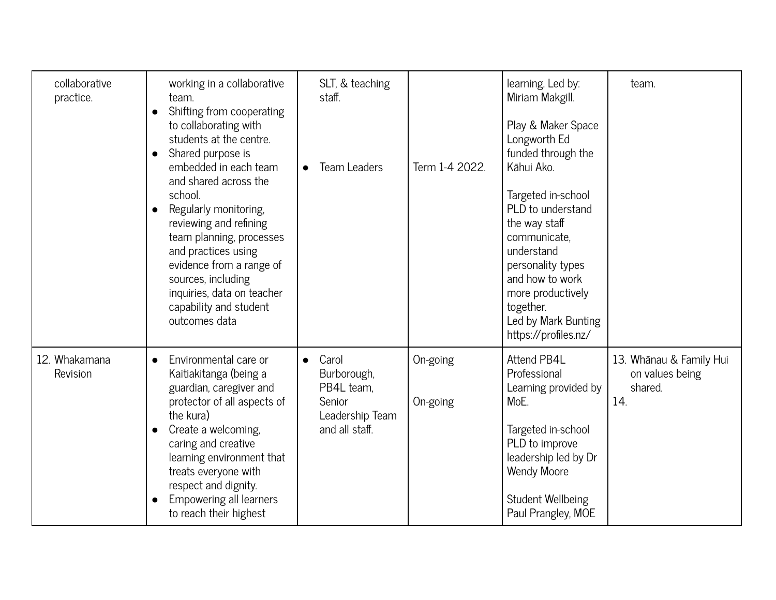| collaborative<br>practice. | working in a collaborative<br>team.<br>Shifting from cooperating<br>$\bullet$<br>to collaborating with<br>students at the centre.<br>Shared purpose is<br>$\bullet$<br>embedded in each team<br>and shared across the<br>school.<br>Regularly monitoring,<br>$\bullet$<br>reviewing and refining<br>team planning, processes<br>and practices using<br>evidence from a range of<br>sources, including<br>inquiries, data on teacher<br>capability and student<br>outcomes data | SLT, & teaching<br>staff.<br><b>Team Leaders</b>                                               | Term 1-4 2022.       | learning. Led by:<br>Miriam Makgill.<br>Play & Maker Space<br>Longworth Ed<br>funded through the<br>Kāhui Ako.<br>Targeted in-school<br>PLD to understand<br>the way staff<br>communicate.<br>understand<br>personality types<br>and how to work<br>more productively<br>together.<br>Led by Mark Bunting<br>https://profiles.nz/ | team.                                                        |
|----------------------------|--------------------------------------------------------------------------------------------------------------------------------------------------------------------------------------------------------------------------------------------------------------------------------------------------------------------------------------------------------------------------------------------------------------------------------------------------------------------------------|------------------------------------------------------------------------------------------------|----------------------|-----------------------------------------------------------------------------------------------------------------------------------------------------------------------------------------------------------------------------------------------------------------------------------------------------------------------------------|--------------------------------------------------------------|
| 12. Whakamana<br>Revision  | Environmental care or<br>$\bullet$<br>Kaitiakitanga (being a<br>guardian, caregiver and<br>protector of all aspects of<br>the kura)<br>Create a welcoming,<br>$\bullet$<br>caring and creative<br>learning environment that<br>treats everyone with<br>respect and dignity.<br>Empowering all learners<br>$\bullet$<br>to reach their highest                                                                                                                                  | Carol<br>$\bullet$<br>Burborough,<br>PB4L team.<br>Senior<br>Leadership Team<br>and all staff. | On-going<br>On-going | Attend PB4L<br>Professional<br>Learning provided by<br>MoE.<br>Targeted in-school<br>PLD to improve<br>leadership led by Dr<br><b>Wendy Moore</b><br>Student Wellbeing<br>Paul Prangley, MOE                                                                                                                                      | 13. Whānau & Family Hui<br>on values being<br>shared.<br>14. |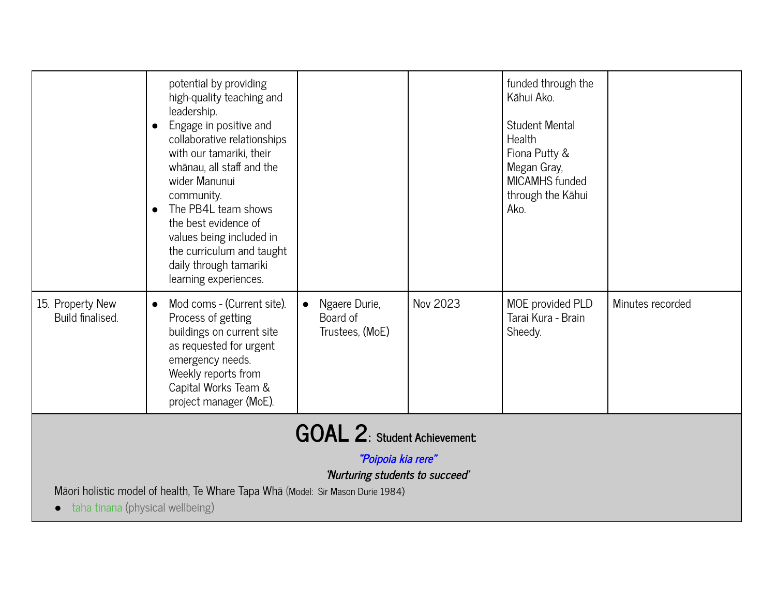|                                                                                                                                                                                                                     | potential by providing<br>high-quality teaching and<br>leadership.<br>Engage in positive and<br>$\bullet$<br>collaborative relationships<br>with our tamariki, their<br>whānau, all staff and the<br>wider Manunui<br>community.<br>The PB4L team shows<br>$\bullet$<br>the best evidence of<br>values being included in<br>the curriculum and taught<br>daily through tamariki<br>learning experiences. |                                                           |          | funded through the<br>Kāhui Ako.<br><b>Student Mental</b><br>Health<br>Fiona Putty &<br>Megan Gray,<br><b>MICAMHS</b> funded<br>through the Kāhui<br>Ako. |                  |  |
|---------------------------------------------------------------------------------------------------------------------------------------------------------------------------------------------------------------------|----------------------------------------------------------------------------------------------------------------------------------------------------------------------------------------------------------------------------------------------------------------------------------------------------------------------------------------------------------------------------------------------------------|-----------------------------------------------------------|----------|-----------------------------------------------------------------------------------------------------------------------------------------------------------|------------------|--|
| 15. Property New<br>Build finalised.                                                                                                                                                                                | Mod coms - (Current site).<br>Process of getting<br>buildings on current site<br>as requested for urgent<br>emergency needs.<br>Weekly reports from<br>Capital Works Team &<br>project manager (MoE).                                                                                                                                                                                                    | Ngaere Durie,<br>$\bullet$<br>Board of<br>Trustees, (MoE) | Nov 2023 | MOE provided PLD<br>Tarai Kura - Brain<br>Sheedy.                                                                                                         | Minutes recorded |  |
| <b>GOAL 2: Student Achievement:</b><br>"Poipoia kia rere"<br>'Nurturing students to succeed'<br>Māori holistic model of health, Te Whare Tapa Whā (Model: Sir Mason Durie 1984)<br>taha tinana (physical wellbeing) |                                                                                                                                                                                                                                                                                                                                                                                                          |                                                           |          |                                                                                                                                                           |                  |  |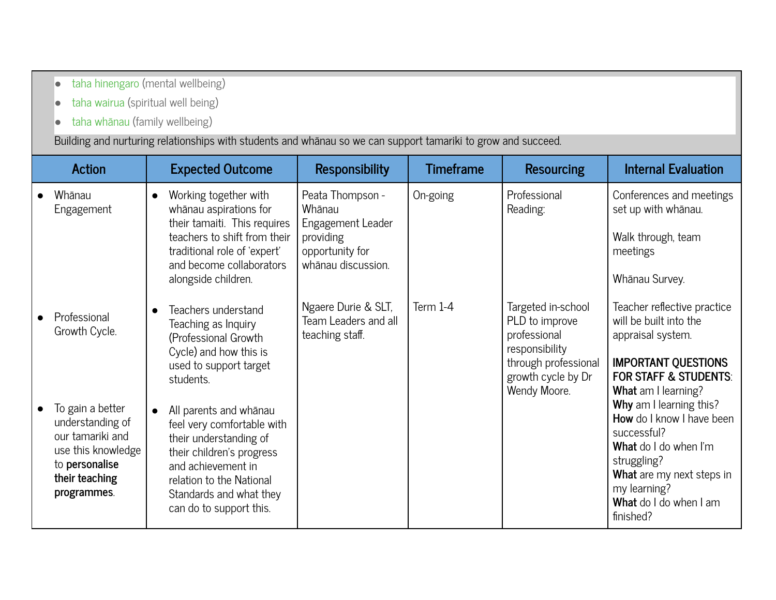- o [taha hinengaro](https://www.healthnavigator.org.nz/healthy-living/t/te-whare-tapa-wh%C4%81-and-wellbeing/#hinengaro) (mental wellbeing)
- [taha wairua](https://www.healthnavigator.org.nz/healthy-living/t/te-whare-tapa-wh%C4%81-and-wellbeing/#wairua) (spiritual well being)
- [taha whānau](https://www.healthnavigator.org.nz/healthy-living/t/te-whare-tapa-wh%C4%81-and-wellbeing/#whanau) (family wellbeing)

Building and nurturing relationships with students and whānau so we can support tamariki to grow and succeed.

| Action                                                                                                                            | <b>Expected Outcome</b>                                                                                                                                                                                                          | <b>Responsibility</b>                                                                                 | <b>Timeframe</b> | <b>Resourcing</b>                                                                                                                    | <b>Internal Evaluation</b>                                                                                                                                                                             |
|-----------------------------------------------------------------------------------------------------------------------------------|----------------------------------------------------------------------------------------------------------------------------------------------------------------------------------------------------------------------------------|-------------------------------------------------------------------------------------------------------|------------------|--------------------------------------------------------------------------------------------------------------------------------------|--------------------------------------------------------------------------------------------------------------------------------------------------------------------------------------------------------|
| Whānau<br>Engagement                                                                                                              | Working together with<br>whānau aspirations for<br>their tamaiti. This requires<br>teachers to shift from their<br>traditional role of 'expert'<br>and become collaborators<br>alongside children.                               | Peata Thompson -<br>Whānau<br>Engagement Leader<br>providing<br>opportunity for<br>whānau discussion. | On-going         | Professional<br>Reading:                                                                                                             | Conferences and meetings<br>set up with whānau.<br>Walk through, team<br>meetings<br>Whānau Survey.                                                                                                    |
| Professional<br>Growth Cycle.                                                                                                     | Teachers understand<br>Teaching as Inquiry<br>(Professional Growth<br>Cycle) and how this is<br>used to support target<br>students.                                                                                              | Ngaere Durie & SLT,<br>Team Leaders and all<br>teaching staff.                                        | Term 1-4         | Targeted in-school<br>PLD to improve<br>professional<br>responsibility<br>through professional<br>growth cycle by Dr<br>Wendy Moore. | Teacher reflective practice<br>will be built into the<br>appraisal system.<br><b>IMPORTANT QUESTIONS</b><br><b>FOR STAFF &amp; STUDENTS:</b><br>What am I learning?                                    |
| To gain a better<br>understanding of<br>our tamariki and<br>use this knowledge<br>to personalise<br>their teaching<br>programmes. | All parents and whānau<br>$\bullet$<br>feel very comfortable with<br>their understanding of<br>their children's progress<br>and achievement in<br>relation to the National<br>Standards and what they<br>can do to support this. |                                                                                                       |                  |                                                                                                                                      | Why am I learning this?<br><b>How</b> do I know I have been<br>successful?<br>What do I do when I'm<br>struggling?<br>What are my next steps in<br>my learning?<br>What do I do when I am<br>finished? |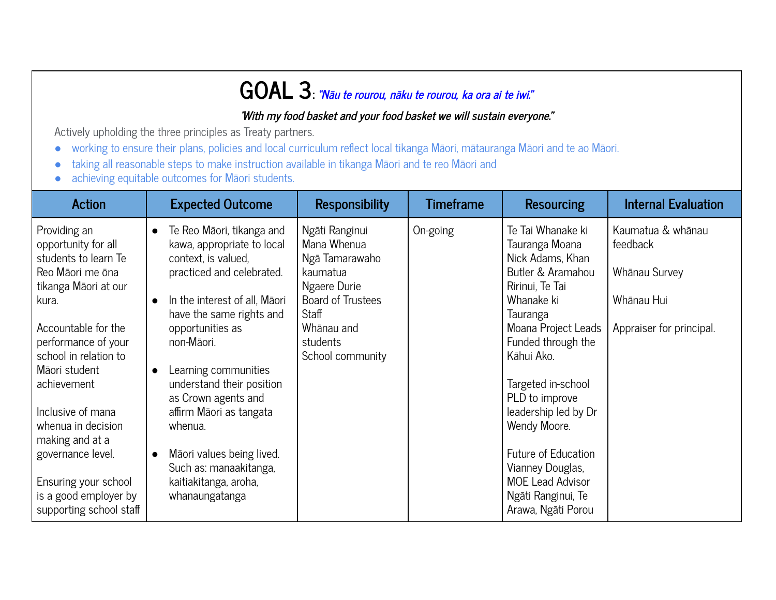### **GOAL 3: "Nāu te rourou, nāku te rourou, ka ora ai te iwi."**

#### **'With my food basket and your food basket we will sustain everyone."**

Actively upholding the three principles as Treaty partners.

- working to ensure their plans, policies and local curriculum reflect local tikanga Māori, mātauranga Māori and te ao Māori.
- taking all reasonable steps to make instruction available in tikanga Māori and te reo Māori and
- achieving equitable outcomes for Māori students.

| <b>Action</b>                                                                                                                                                                                                                                                                                                                                                                          | <b>Expected Outcome</b>                                                                                                                                                                                                                                                                                                                                                                                                                                  | <b>Responsibility</b>                                                                                                                                          | <b>Timeframe</b> | <b>Resourcing</b>                                                                                                                                                                                                                                                                                                                                                                      | <b>Internal Evaluation</b>                                                               |
|----------------------------------------------------------------------------------------------------------------------------------------------------------------------------------------------------------------------------------------------------------------------------------------------------------------------------------------------------------------------------------------|----------------------------------------------------------------------------------------------------------------------------------------------------------------------------------------------------------------------------------------------------------------------------------------------------------------------------------------------------------------------------------------------------------------------------------------------------------|----------------------------------------------------------------------------------------------------------------------------------------------------------------|------------------|----------------------------------------------------------------------------------------------------------------------------------------------------------------------------------------------------------------------------------------------------------------------------------------------------------------------------------------------------------------------------------------|------------------------------------------------------------------------------------------|
| Providing an<br>opportunity for all<br>students to learn Te<br>Reo Māori me ōna<br>tikanga Māori at our<br>kura.<br>Accountable for the<br>performance of your<br>school in relation to<br>Māori student<br>achievement<br>Inclusive of mana<br>whenua in decision<br>making and at a<br>governance level.<br>Ensuring your school<br>is a good employer by<br>supporting school staff | Te Reo Māori, tikanga and<br>$\bullet$<br>kawa, appropriate to local<br>context, is valued,<br>practiced and celebrated.<br>In the interest of all, Māori<br>have the same rights and<br>opportunities as<br>non-Māori.<br>Learning communities<br>$\bullet$<br>understand their position<br>as Crown agents and<br>affirm Māori as tangata<br>whenua.<br>Māori values being lived.<br>Such as: manaakitanga,<br>kaitiakitanga, aroha,<br>whanaungatanga | Ngāti Ranginui<br>Mana Whenua<br>Ngā Tamarawaho<br>kaumatua<br>Ngaere Durie<br><b>Board of Trustees</b><br>Staff<br>Whānau and<br>students<br>School community | On-going         | Te Tai Whanake ki<br>Tauranga Moana<br>Nick Adams, Khan<br>Butler & Aramahou<br>Ririnui, Te Tai<br>Whanake ki<br>Tauranga<br>Moana Project Leads<br>Funded through the<br>Kāhui Ako.<br>Targeted in-school<br>PLD to improve<br>leadership led by Dr<br>Wendy Moore.<br>Future of Education<br>Vianney Douglas,<br><b>MOE Lead Advisor</b><br>Ngāti Ranginui, Te<br>Arawa, Ngāti Porou | Kaumatua & whānau<br>feedback<br>Whānau Survey<br>Whānau Hui<br>Appraiser for principal. |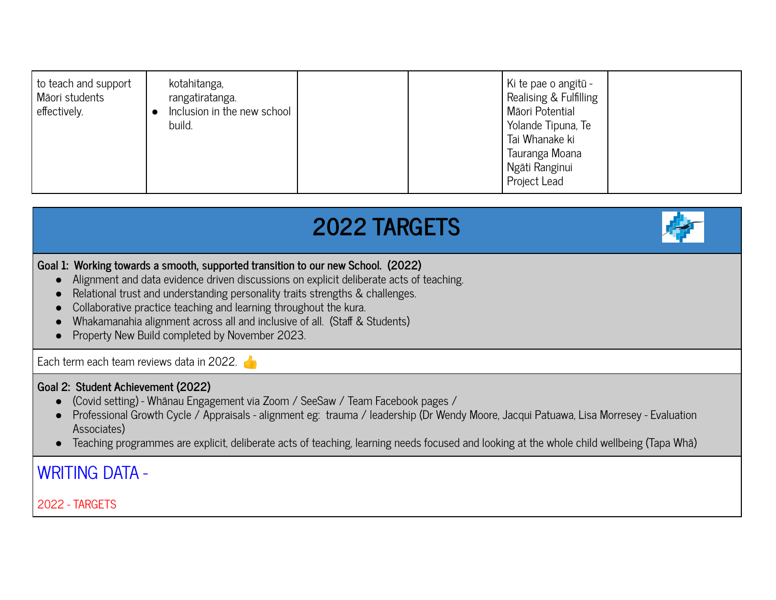## **2022 TARGETS**



#### **Goal 1: Working towards a smooth, supported transition to our new School. (2022)**

- Alignment and data evidence driven discussions on explicit deliberate acts of teaching.
- Relational trust and understanding personality traits strengths & challenges.
- Collaborative practice teaching and learning throughout the kura.
- Whakamanahia alignment across all and inclusive of all. (Staff & Students)
- Property New Build completed by November 2023.

Each term each team reviews data in 2022.

#### **Goal 2: Student Achievement (2022)**

- (Covid setting) Whānau Engagement via Zoom / SeeSaw / Team Facebook pages /
- Professional Growth Cycle / Appraisals alignment eg: trauma / leadership (Dr Wendy Moore, Jacqui Patuawa, Lisa Morresey Evaluation Associates)
- Teaching programmes are explicit, deliberate acts of teaching, learning needs focused and looking at the whole child wellbeing (Tapa Whā)

#### WRITING DATA -

2022 - TARGETS